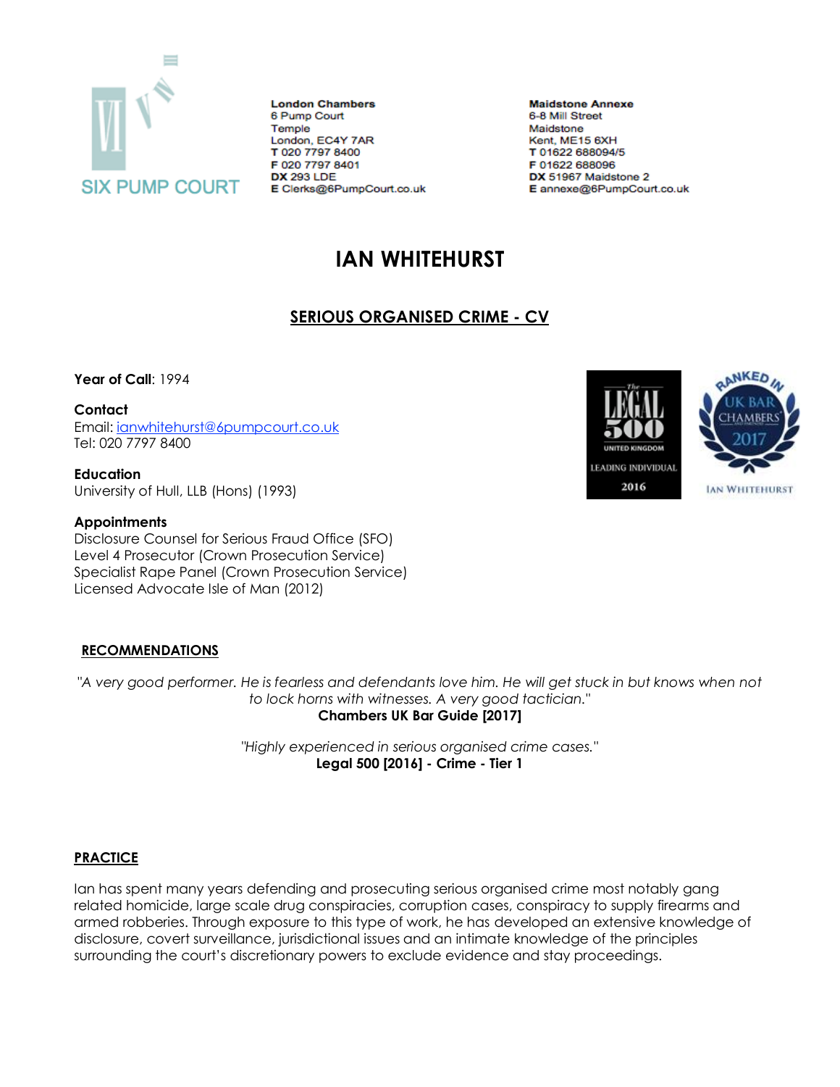

**London Chambers** 6 Pump Court Temple London, EC4Y 7AR T 020 7797 8400 F 020 7797 8401 **DX 293 LDE** E Clerks@6PumpCourt.co.uk

**Maidstone Annexe** 6-8 Mill Street Maidstone Kent, ME15 6XH T 01622 688094/5 F 01622 688096 DX 51967 Maidstone 2 E annexe@6PumpCourt.co.uk

# **IAN WHITEHURST**

# **SERIOUS ORGANISED CRIME - CV**

**Year of Call**: 1994

#### **Contact**

Email: [ianwhitehurst@6pumpcourt.co.uk](mailto:ianwhitehurst@6pumpcourt.co.uk) Tel: 020 7797 8400

**Education** University of Hull, LLB (Hons) (1993)

#### **Appointments**

Disclosure Counsel for Serious Fraud Office (SFO) Level 4 Prosecutor (Crown Prosecution Service) Specialist Rape Panel (Crown Prosecution Service) Licensed Advocate Isle of Man (2012)

## **RECOMMENDATIONS**

*"A very good performer. He is fearless and defendants love him. He will get stuck in but knows when not to lock horns with witnesses. A very good tactician."* **Chambers UK Bar Guide [2017]**

> *"Highly experienced in serious organised crime cases."* **Legal 500 [2016] - Crime - Tier 1**

## **PRACTICE**

Ian has spent many years defending and prosecuting serious organised crime most notably gang related homicide, large scale drug conspiracies, corruption cases, conspiracy to supply firearms and armed robberies. Through exposure to this type of work, he has developed an extensive knowledge of disclosure, covert surveillance, jurisdictional issues and an intimate knowledge of the principles surrounding the court's discretionary powers to exclude evidence and stay proceedings.